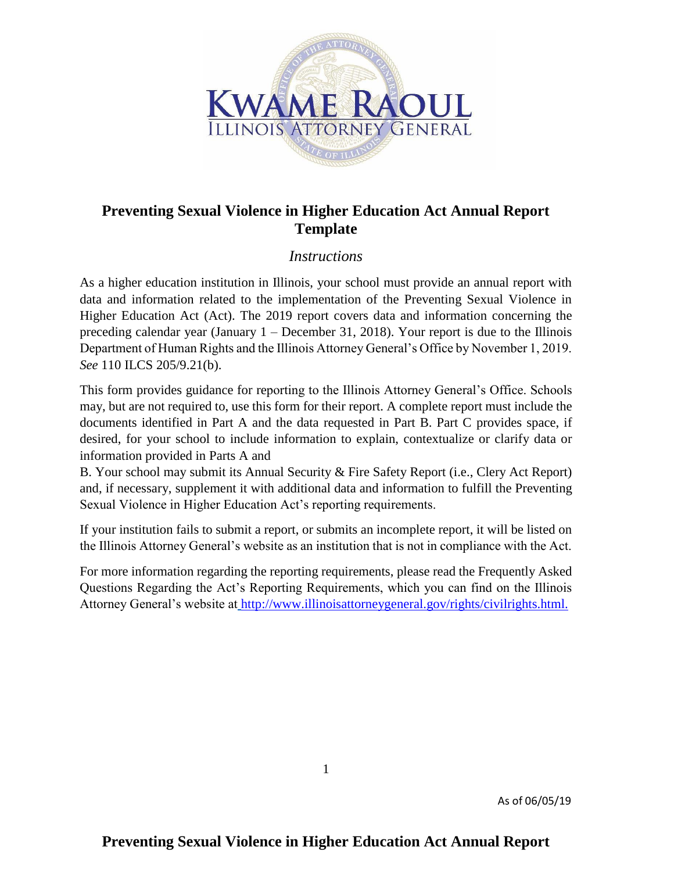

# **Preventing Sexual Violence in Higher Education Act Annual Report Template**

## *Instructions*

As a higher education institution in Illinois, your school must provide an annual report with data and information related to the implementation of the Preventing Sexual Violence in Higher Education Act (Act). The 2019 report covers data and information concerning the preceding calendar year (January 1 – December 31, 2018). Your report is due to the Illinois Department of Human Rights and the Illinois Attorney General's Office by November 1, 2019. *See* 110 ILCS 205/9.21(b).

This form provides guidance for reporting to the Illinois Attorney General's Office. Schools may, but are not required to, use this form for their report. A complete report must include the documents identified in Part A and the data requested in Part B. Part C provides space, if desired, for your school to include information to explain, contextualize or clarify data or information provided in Parts A and

B. Your school may submit its Annual Security & Fire Safety Report (i.e., Clery Act Report) and, if necessary, supplement it with additional data and information to fulfill the Preventing Sexual Violence in Higher Education Act's reporting requirements.

If your institution fails to submit a report, or submits an incomplete report, it will be listed on the Illinois Attorney General's website as an institution that is not in compliance with the Act.

For more information regarding the reporting requirements, please read the Frequently Asked Questions Regarding the Act's Reporting Requirements, which you can find on the Illinois Attorney General's website at [http://www.illinoisattorneygeneral.gov/rights/civilrights.html.](http://www.illinoisattorneygeneral.gov/rights/civilrights.html)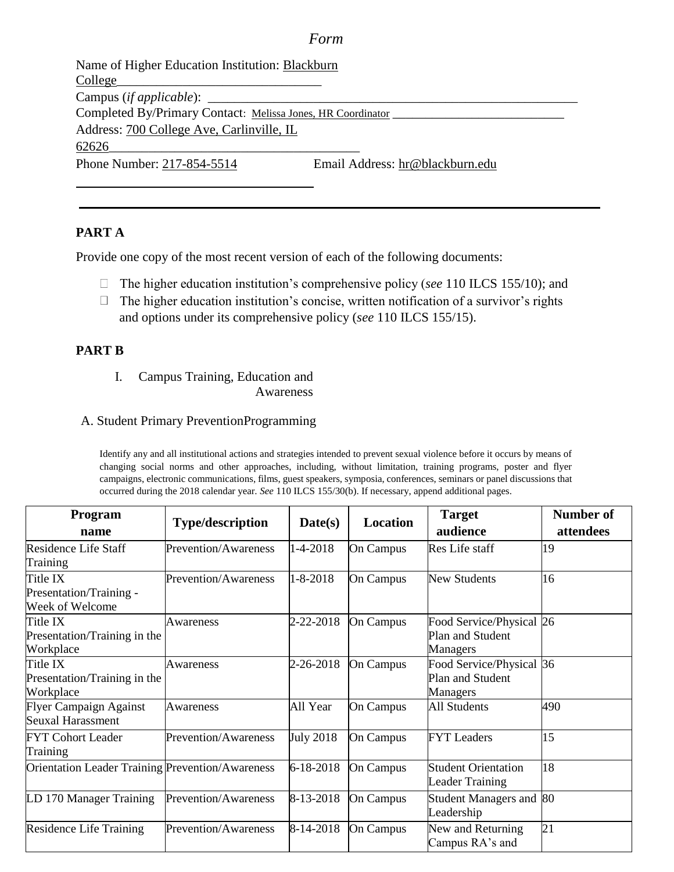#### *Form*

Name of Higher Education Institution: Blackburn College\_ Campus (*if applicable*): Completed By/Primary Contact: Melissa Jones, HR Coordinator \_\_\_\_\_\_\_\_\_\_\_\_\_\_\_\_\_\_\_\_\_ Address: 700 College Ave, Carlinville, IL 62626\_\_\_\_\_\_\_\_\_\_\_\_\_\_\_\_\_\_\_\_\_\_\_\_\_\_\_\_\_\_\_\_\_\_\_\_\_\_ Phone Number: 217-854-5514 Email Address: hr@blackburn.edu

### **PART A**

Provide one copy of the most recent version of each of the following documents:

- The higher education institution's comprehensive policy (*see* 110 ILCS 155/10); and
- $\Box$  The higher education institution's concise, written notification of a survivor's rights and options under its comprehensive policy (*see* 110 ILCS 155/15).

#### **PART B**

I. Campus Training, Education and Awareness

### A. Student Primary PreventionProgramming

Identify any and all institutional actions and strategies intended to prevent sexual violence before it occurs by means of changing social norms and other approaches, including, without limitation, training programs, poster and flyer campaigns, electronic communications, films, guest speakers, symposia, conferences, seminars or panel discussions that occurred during the 2018 calendar year. *See* 110 ILCS 155/30(b). If necessary, append additional pages.

| Program                                                 |                             | Location         | <b>Target</b>    | <b>Number of</b>                                         |           |
|---------------------------------------------------------|-----------------------------|------------------|------------------|----------------------------------------------------------|-----------|
| name                                                    | <b>Type/description</b>     | Date(s)          |                  | audience                                                 | attendees |
| Residence Life Staff<br>Training                        | Prevention/Awareness        | 1-4-2018         | On Campus        | Res Life staff                                           | 19        |
| Title IX<br>Presentation/Training -<br>Week of Welcome  | Prevention/Awareness        | $1 - 8 - 2018$   | <b>On Campus</b> | <b>New Students</b>                                      | 16        |
| Title IX<br>Presentation/Training in the<br>Workplace   | Awareness                   | 2-22-2018        | On Campus        | Food Service/Physical 26<br>Plan and Student<br>Managers |           |
| Title IX<br>Presentation/Training in the<br>Workplace   | Awareness                   | 2-26-2018        | On Campus        | Food Service/Physical 36<br>Plan and Student<br>Managers |           |
| <b>Flyer Campaign Against</b><br>Seuxal Harassment      | Awareness                   | All Year         | On Campus        | <b>All Students</b>                                      | 490       |
| <b>FYT Cohort Leader</b><br>Training                    | <b>Prevention/Awareness</b> | <b>July 2018</b> | On Campus        | <b>FYT</b> Leaders                                       | 15        |
| <b>Orientation Leader Training Prevention/Awareness</b> |                             | 6-18-2018        | On Campus        | <b>Student Orientation</b><br><b>Leader Training</b>     | 18        |
| LD 170 Manager Training                                 | Prevention/Awareness        | 8-13-2018        | On Campus        | Student Managers and 80<br>Leadership                    |           |
| <b>Residence Life Training</b>                          | Prevention/Awareness        | 8-14-2018        | On Campus        | New and Returning<br>Campus RA's and                     | 21        |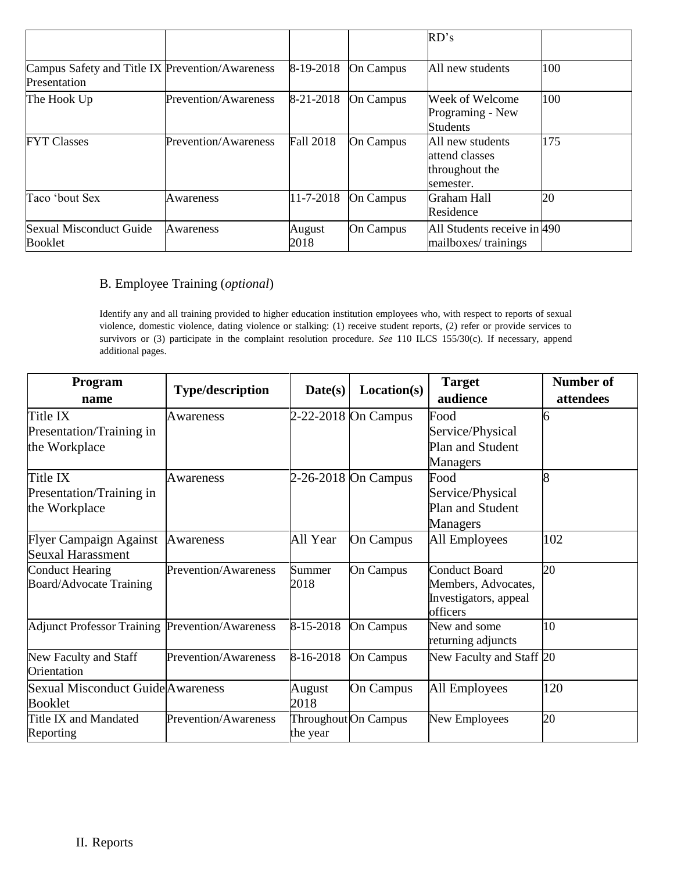|                                                                 |                             |                  |                  | RD's                                                              |     |
|-----------------------------------------------------------------|-----------------------------|------------------|------------------|-------------------------------------------------------------------|-----|
| Campus Safety and Title IX Prevention/Awareness<br>Presentation |                             | 8-19-2018        | On Campus        | All new students                                                  | 100 |
| The Hook Up                                                     | Prevention/Awareness        | 8-21-2018        | On Campus        | Week of Welcome<br>Programing - New<br><b>Students</b>            | 100 |
| <b>FYT Classes</b>                                              | <b>Prevention/Awareness</b> | <b>Fall 2018</b> | On Campus        | All new students<br>attend classes<br>throughout the<br>semester. | 175 |
| Taco 'bout Sex                                                  | Awareness                   | 11-7-2018        | <b>On Campus</b> | Graham Hall<br>Residence                                          | 20  |
| <b>Sexual Misconduct Guide</b><br>Booklet                       | Awareness                   | August<br>2018   | <b>On Campus</b> | All Students receive in 490<br>mailboxes/trainings                |     |

### B. Employee Training (*optional*)

Identify any and all training provided to higher education institution employees who, with respect to reports of sexual violence, domestic violence, dating violence or stalking: (1) receive student reports, (2) refer or provide services to survivors or (3) participate in the complaint resolution procedure. *See* 110 ILCS 155/30(c). If necessary, append additional pages.

| Program<br>name                                        | <b>Type/description</b> | Date(s)   | Location(s)          | <b>Target</b>                     | <b>Number of</b> |
|--------------------------------------------------------|-------------------------|-----------|----------------------|-----------------------------------|------------------|
|                                                        |                         |           |                      | audience                          | attendees        |
| Title IX                                               | Awareness               |           | 2-22-2018 On Campus  | Food                              | 6                |
| Presentation/Training in                               |                         |           |                      | Service/Physical                  |                  |
| the Workplace                                          |                         |           |                      | Plan and Student                  |                  |
|                                                        |                         |           |                      | Managers                          |                  |
| Title IX                                               | Awareness               |           | 2-26-2018 On Campus  | Food                              | $\overline{8}$   |
| Presentation/Training in                               |                         |           |                      | Service/Physical                  |                  |
| the Workplace                                          |                         |           |                      | Plan and Student                  |                  |
|                                                        |                         |           |                      | Managers                          |                  |
| <b>Flyer Campaign Against</b>                          | Awareness               | All Year  | <b>On Campus</b>     | All Employees                     | 102              |
| Seuxal Harassment                                      |                         |           |                      |                                   |                  |
| <b>Conduct Hearing</b>                                 | Prevention/Awareness    | Summer    | <b>On Campus</b>     | <b>Conduct Board</b>              | 20               |
| Board/Advocate Training                                |                         | 2018      |                      | Members, Advocates,               |                  |
|                                                        |                         |           |                      | Investigators, appeal<br>officers |                  |
| <b>Adjunct Professor Training Prevention/Awareness</b> |                         | 8-15-2018 | <b>On Campus</b>     | New and some                      | 10               |
|                                                        |                         |           |                      | returning adjuncts                |                  |
| New Faculty and Staff                                  | Prevention/Awareness    | 8-16-2018 | <b>On Campus</b>     | New Faculty and Staff 20          |                  |
| Orientation                                            |                         |           |                      |                                   |                  |
| <b>Sexual Misconduct Guide</b> Awareness               |                         | August    | <b>On Campus</b>     | All Employees                     | 120              |
| <b>Booklet</b>                                         |                         | 2018      |                      |                                   |                  |
| Title IX and Mandated                                  | Prevention/Awareness    |           | Throughout On Campus | New Employees                     | 20               |
| Reporting                                              |                         | the year  |                      |                                   |                  |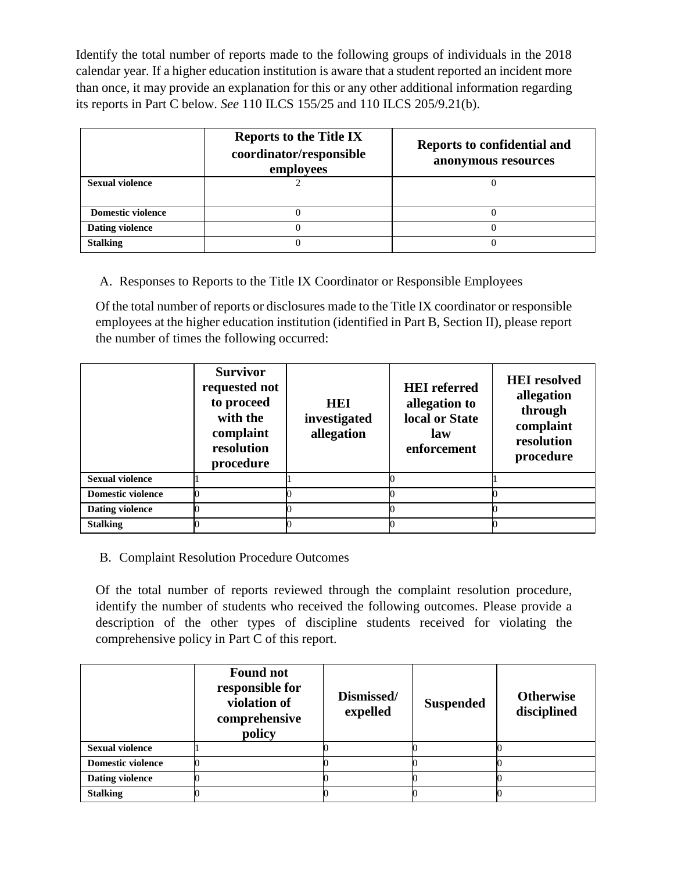Identify the total number of reports made to the following groups of individuals in the 2018 calendar year. If a higher education institution is aware that a student reported an incident more than once, it may provide an explanation for this or any other additional information regarding its reports in Part C below. *See* 110 ILCS 155/25 and 110 ILCS 205/9.21(b).

|                          | <b>Reports to the Title IX</b><br>coordinator/responsible<br>employees | Reports to confidential and<br>anonymous resources |  |
|--------------------------|------------------------------------------------------------------------|----------------------------------------------------|--|
| <b>Sexual violence</b>   |                                                                        |                                                    |  |
| <b>Domestic violence</b> |                                                                        |                                                    |  |
| <b>Dating violence</b>   |                                                                        |                                                    |  |
| <b>Stalking</b>          |                                                                        |                                                    |  |

A. Responses to Reports to the Title IX Coordinator or Responsible Employees

Of the total number of reports or disclosures made to the Title IX coordinator or responsible employees at the higher education institution (identified in Part B, Section II), please report the number of times the following occurred:

|                          | <b>Survivor</b><br>requested not<br>to proceed<br>with the<br>complaint<br>resolution<br>procedure | <b>HEI</b><br>investigated<br>allegation | <b>HEI</b> referred<br>allegation to<br>local or State<br>law<br>enforcement | <b>HEI</b> resolved<br>allegation<br>through<br>complaint<br>resolution<br>procedure |
|--------------------------|----------------------------------------------------------------------------------------------------|------------------------------------------|------------------------------------------------------------------------------|--------------------------------------------------------------------------------------|
| <b>Sexual violence</b>   |                                                                                                    |                                          |                                                                              |                                                                                      |
| <b>Domestic violence</b> |                                                                                                    |                                          |                                                                              |                                                                                      |
| <b>Dating violence</b>   |                                                                                                    |                                          |                                                                              |                                                                                      |
| <b>Stalking</b>          |                                                                                                    |                                          |                                                                              |                                                                                      |

# B. Complaint Resolution Procedure Outcomes

Of the total number of reports reviewed through the complaint resolution procedure, identify the number of students who received the following outcomes. Please provide a description of the other types of discipline students received for violating the comprehensive policy in Part C of this report.

|                          | <b>Found not</b><br>responsible for<br>violation of<br>comprehensive<br>policy | Dismissed/<br>expelled | <b>Suspended</b> | <b>Otherwise</b><br>disciplined |
|--------------------------|--------------------------------------------------------------------------------|------------------------|------------------|---------------------------------|
| <b>Sexual violence</b>   |                                                                                |                        |                  |                                 |
| <b>Domestic violence</b> |                                                                                |                        |                  |                                 |
| <b>Dating violence</b>   |                                                                                |                        |                  |                                 |
| <b>Stalking</b>          |                                                                                |                        |                  |                                 |